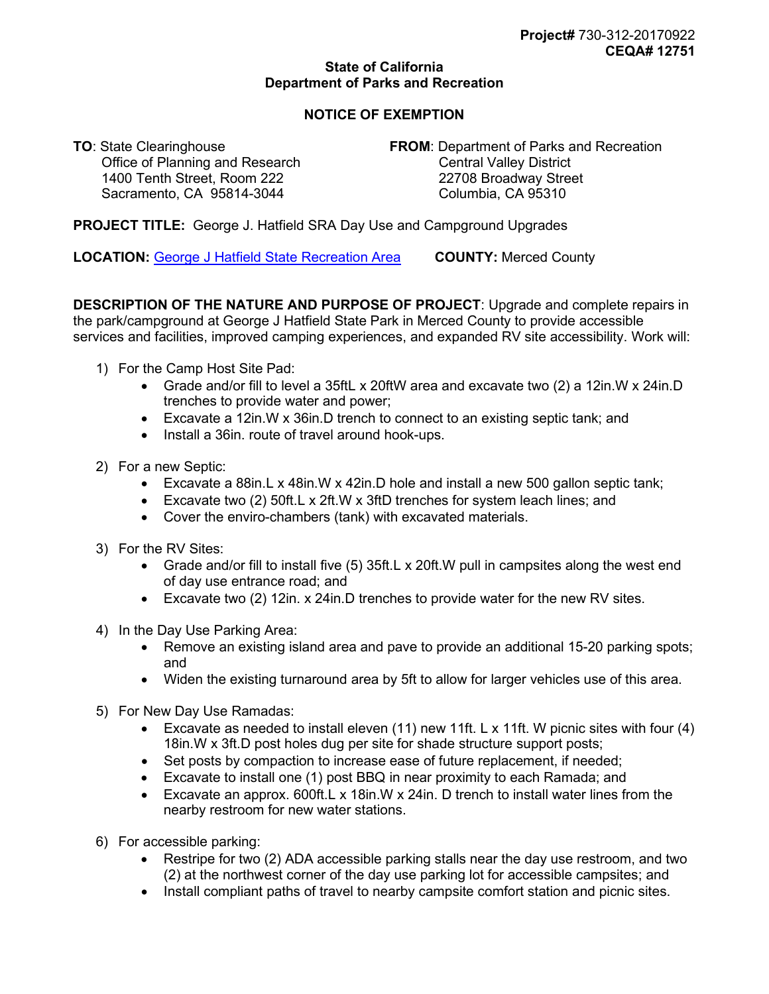## **State of California Department of Parks and Recreation**

## **NOTICE OF EXEMPTION**

Office of Planning and Research 1400 Tenth Street, Room 222 22708 Broadway Street Sacramento, CA 95814-3044

**TO**: State Clearinghouse **FROM**: Department of Parks and Recreation<br>Office of Planning and Research **FROM**: Dentral Valley District

**PROJECT TITLE:** George J. Hatfield SRA Day Use and Campground Upgrades

**LOCATION:** [George J Hatfield State Recreation Area](https://www.google.com/maps/@37.3556446,-120.9600822,16.75z) **COUNTY:** Merced County

**DESCRIPTION OF THE NATURE AND PURPOSE OF PROJECT**: Upgrade and complete repairs in the park/campground at George J Hatfield State Park in Merced County to provide accessible services and facilities, improved camping experiences, and expanded RV site accessibility. Work will:

- 1) For the Camp Host Site Pad:
	- Grade and/or fill to level a 35ftL x 20ftW area and excavate two (2) a 12in.W x 24in.D trenches to provide water and power;
	- Excavate a 12in.W x 36in.D trench to connect to an existing septic tank; and
	- Install a 36in. route of travel around hook-ups.
- 2) For a new Septic:
	- Excavate a 88in.L x 48in.W x 42in.D hole and install a new 500 gallon septic tank;
	- Excavate two (2) 50ft.L x 2ft.W x 3ftD trenches for system leach lines; and
	- Cover the enviro-chambers (tank) with excavated materials.
- 3) For the RV Sites:
	- Grade and/or fill to install five (5) 35ft.L x 20ft.W pull in campsites along the west end of day use entrance road; and
	- Excavate two (2) 12in. x 24in.D trenches to provide water for the new RV sites.
- 4) In the Day Use Parking Area:
	- Remove an existing island area and pave to provide an additional 15-20 parking spots; and
	- Widen the existing turnaround area by 5ft to allow for larger vehicles use of this area.
- 5) For New Day Use Ramadas:
	- Excavate as needed to install eleven (11) new 11ft. L x 11ft. W picnic sites with four (4) 18in.W x 3ft.D post holes dug per site for shade structure support posts;
	- Set posts by compaction to increase ease of future replacement, if needed;
	- Excavate to install one (1) post BBQ in near proximity to each Ramada; and
	- Excavate an approx. 600ft.L x 18in.W x 24in. D trench to install water lines from the nearby restroom for new water stations.
- 6) For accessible parking:
	- Restripe for two (2) ADA accessible parking stalls near the day use restroom, and two (2) at the northwest corner of the day use parking lot for accessible campsites; and
	- Install compliant paths of travel to nearby campsite comfort station and picnic sites.